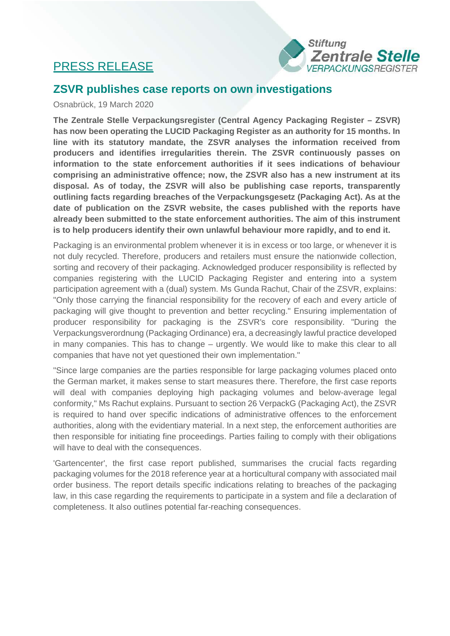## PRESS RELEASE



## **ZSVR publishes case reports on own investigations**

## Osnabrück, 19 March 2020

**The Zentrale Stelle Verpackungsregister (Central Agency Packaging Register – ZSVR) has now been operating the LUCID Packaging Register as an authority for 15 months. In line with its statutory mandate, the ZSVR analyses the information received from producers and identifies irregularities therein. The ZSVR continuously passes on information to the state enforcement authorities if it sees indications of behaviour comprising an administrative offence; now, the ZSVR also has a new instrument at its disposal. As of today, the ZSVR will also be publishing case reports, transparently outlining facts regarding breaches of the Verpackungsgesetz (Packaging Act). As at the date of publication on the ZSVR website, the cases published with the reports have already been submitted to the state enforcement authorities. The aim of this instrument is to help producers identify their own unlawful behaviour more rapidly, and to end it.**

Packaging is an environmental problem whenever it is in excess or too large, or whenever it is not duly recycled. Therefore, producers and retailers must ensure the nationwide collection, sorting and recovery of their packaging. Acknowledged producer responsibility is reflected by companies registering with the LUCID Packaging Register and entering into a system participation agreement with a (dual) system. Ms Gunda Rachut, Chair of the ZSVR, explains: "Only those carrying the financial responsibility for the recovery of each and every article of packaging will give thought to prevention and better recycling." Ensuring implementation of producer responsibility for packaging is the ZSVR's core responsibility. "During the Verpackungsverordnung (Packaging Ordinance) era, a decreasingly lawful practice developed in many companies. This has to change – urgently. We would like to make this clear to all companies that have not yet questioned their own implementation."

"Since large companies are the parties responsible for large packaging volumes placed onto the German market, it makes sense to start measures there. Therefore, the first case reports will deal with companies deploying high packaging volumes and below-average legal conformity," Ms Rachut explains. Pursuant to section 26 VerpackG (Packaging Act), the ZSVR is required to hand over specific indications of administrative offences to the enforcement authorities, along with the evidentiary material. In a next step, the enforcement authorities are then responsible for initiating fine proceedings. Parties failing to comply with their obligations will have to deal with the consequences.

'Gartencenter', the first case report published, summarises the crucial facts regarding packaging volumes for the 2018 reference year at a horticultural company with associated mail order business. The report details specific indications relating to breaches of the packaging law, in this case regarding the requirements to participate in a system and file a declaration of completeness. It also outlines potential far-reaching consequences.